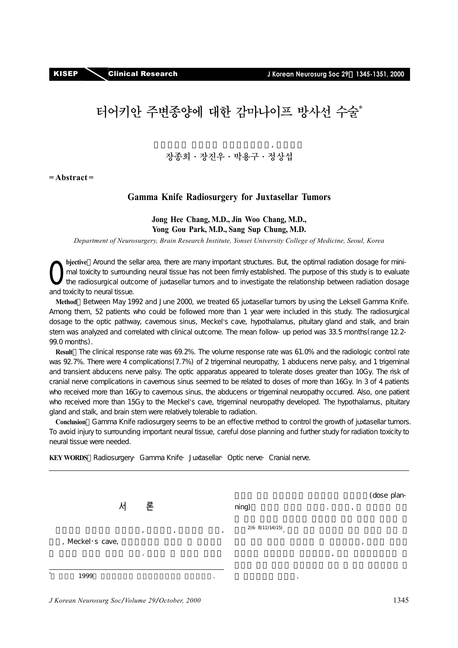# 터어키안 주변종양에 대한 감마나이프 방사선 수술\*

## 연세대학교 의과대학 신경외과학교실, 뇌연구소 장종희·장진우·박용구·정상섭

**= Abstract =** 

## **Gamma Knife Radiosurgery for Juxtasellar Tumors**

#### **Jong Hee Chang, M.D., Jin Woo Chang, M.D., Yong Gou Park, M.D., Sang Sup Chung, M.D.**

*Department of Neurosurgery, Brain Research Institute, Yonsei University College of Medicine, Seoul, Korea* 

**bjective**: Around the sellar area, there are many important structures. But, the optimal radiation dosage for minimal toxicity to surrounding neural tissue has not been firmly established. The purpose of this study is to evaluate the radiosurgical outcome of juxtasellar tumors and to investigate the relationship between radiation dosage and toxicity to neural tissue. O

**Method**: Between May 1992 and June 2000, we treated 65 juxtasellar tumors by using the Leksell Gamma Knife. Among them, 52 patients who could be followed more than 1 year were included in this study. The radiosurgical dosage to the optic pathway, cavernous sinus, Meckel's cave, hypothalamus, pituitary gland and stalk, and brain stem was analyzed and correlated with clinical outcome. The mean follow-up period was 33.5 months (range 12.2-99.0 months).

**Result**: The clinical response rate was 69.2%. The volume response rate was 61.0% and the radiologic control rate was 92.7%. There were 4 complications (7.7%) of 2 trigeminal neuropathy, 1 abducens nerve palsy, and 1 trigeminal and transient abducens nerve palsy. The optic apparatus appeared to tolerate doses greater than 10Gy. The risk of cranial nerve complications in cavernous sinus seemed to be related to doses of more than 16Gy. In 3 of 4 patients who received more than 16Gy to cavernous sinus, the abducens or trigeminal neuropathy occurred. Also, one patient who received more than 15Gy to the Meckel's cave, trigeminal neuropathy developed. The hypothalamus, pituitary gland and stalk, and brain stem were relatively tolerable to radiation.

**Conclusion**:Gamma Knife radiosurgery seems to be an effective method to control the growth of juxtasellar tumors. To avoid injury to surrounding important neural tissue, careful dose planning and further study for radiation toxicity to neural tissue were needed.

KEY WORDS Radiosurgery· Gamma Knife· Juxtasellar· Optic nerve· Cranial nerve.

|    |                  |                      |   |           |                  |   |         |         | (dose plan- |  |
|----|------------------|----------------------|---|-----------|------------------|---|---------|---------|-------------|--|
|    | 서                | 론                    |   |           | ning)            |   | $\cdot$ | ,       |             |  |
|    | , Meckel's cave, | $\cdot$<br>$\bullet$ | , | $\cdot$   | $2(6-8)11(14)15$ |   | $\cdot$ | $\cdot$ |             |  |
| ¥. | 1999             |                      |   | $\bullet$ |                  | ٠ |         |         |             |  |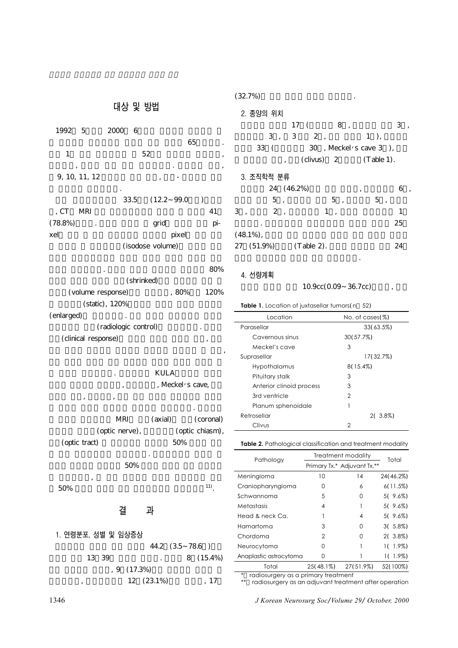## 대상 및 방법

| 1992 5     |               | 2000 | - 6  |                  |       |                          |     |
|------------|---------------|------|------|------------------|-------|--------------------------|-----|
|            |               |      |      |                  | 65    |                          |     |
| 1          |               |      | 52   |                  |       |                          | ,   |
| ,          |               |      |      |                  |       |                          | ,   |
|            | 9, 10, 11, 12 |      |      | ,                |       |                          |     |
|            |               | ٠    | 33.5 | (12.2 99.0       |       | $\overline{\phantom{a}}$ |     |
| , CT       | MRI           |      |      |                  |       |                          | 41  |
| $(78.8\%)$ |               |      |      | grid             |       |                          | pi- |
| xel        |               |      |      |                  | pixel |                          |     |
|            |               |      |      | (isodose volume) |       |                          |     |
|            |               |      |      |                  |       |                          |     |

 $\sim$  80% (shrinked) (volume response) and  $80\%$  120% (static), 120% (enlarged)

(radiologic control) (clinical response)  $\overline{\phantom{a}}$ 

# KULA , Meckel's cave,  $\rightarrow$  ,  $\rightarrow$  ,  $\rightarrow$  ,  $\rightarrow$  ,  $\rightarrow$  ,  $\rightarrow$  ,  $\rightarrow$  ,  $\rightarrow$  ,  $\rightarrow$  ,  $\rightarrow$  ,  $\rightarrow$  ,  $\rightarrow$  ,  $\rightarrow$  ,  $\rightarrow$  ,  $\rightarrow$  ,  $\rightarrow$  ,  $\rightarrow$  ,  $\rightarrow$  ,  $\rightarrow$  ,  $\rightarrow$  ,  $\rightarrow$  ,  $\rightarrow$  ,  $\rightarrow$  ,  $\rightarrow$  ,  $\rightarrow$  ,  $\rightarrow$  ,  $\rightarrow$  ,  $\rightarrow$  ,  $\rightarrow$  ,  $\rightarrow$  ,  $\rightarrow$  ,  $\rightarrow$

여 시술후 발생한 합병증과 관련성을 분석하였다. 시신경계 MRI (axial) (coronal) (optic nerve),  $($ optic chiasm),  $(\text{optic tract})$  50% 된 최대 방사선량으로 정의하였다. 해면정맥동의 경우는 뇌

## $50\%$  $\mathcal{A}$  $50\%$  11).

## 결 과

## 1. 연령분포, 성별 및 임상증상 44.2 (3.5∼78.6) 13:39 . 8 (15.4%)  $9(17.3%)$  $12(23.1\%)$ , 17

## $(32.7\%)$

| 2. 종양의 위치 |  |                       |    |
|-----------|--|-----------------------|----|
|           |  | 17(8)                 | 3. |
|           |  | 3, 3, 2, 1,           |    |
| 33 (      |  | 30, Meckel's cave 3). |    |

 $\text{(clivus)} \quad 2 \quad \text{(Table 1)}.$ 

## 3. 조직학적 분류

|   |              | 24 (46.2%)               |                               | , |              |    |  |
|---|--------------|--------------------------|-------------------------------|---|--------------|----|--|
|   | 5            | $\overline{\phantom{a}}$ | 5,                            |   | 5<br>$\cdot$ |    |  |
| 3 | 2,           |                          | 1<br>$\overline{\phantom{a}}$ |   |              |    |  |
|   |              |                          |                               |   |              | 25 |  |
|   | $(48.1\%)$ , |                          |                               |   |              |    |  |
|   | 27 (51.9%)   | $(Table 2)$ .            |                               |   |              | 24 |  |
|   |              |                          |                               |   |              |    |  |

#### 4. 선량계획

#### 10.9cc(0.09 36.7cc)

#### **Table 1.** Location of juxtasellar tumors(n 52)

| Location                 | No. of $cases (\%)$ |
|--------------------------|---------------------|
| Parasellar               | 33(63.5%)           |
| Cavernous sinus          | 30(57.7%)           |
| Meckel's cave            | 3                   |
| Suprasellar              | 17(32.7%)           |
| Hypothalamus             | $8(15.4\%)$         |
| Pituitary stalk          | 3                   |
| Anterior clinoid process | 3                   |
| 3rd ventricle            | 2                   |
| Planum sphenoidale       | 1                   |
| Retrosellar              | $2(3.8\%)$          |
| Clivus                   | 2                   |

**Table 2.** Pathological classification and treatment modality

| Pathology              | Treatment modality | Total                       |            |
|------------------------|--------------------|-----------------------------|------------|
|                        |                    | Primary Tx.* Adjuvant Tx.** |            |
| Meningioma             | 10                 | 14                          | 24 (46.2%) |
| Craniopharyngioma      | O                  | 6                           | 6(11.5%)   |
| Schwannoma             | 5                  | Ω                           | $5(9.6\%)$ |
| Metastasis             | 4                  |                             | $5(9.6\%)$ |
| Head & neck Ca.        |                    | 4                           | $5(9.6\%)$ |
| Hamartoma              | 3                  | Ω                           | $3(5.8\%)$ |
| Chordoma               | $\mathcal{P}$      | U                           | $2(3.8\%)$ |
| Neurocytoma            | ∩                  |                             | $1(1.9\%)$ |
| Anaplastic astrocytoma | $\left( \right)$   |                             | $1(1.9\%)$ |
| Total                  | 25(48.1%)          | 27(51.9%)                   | 52(100%)   |

\* radiosurgery as a primary treatment

\*\* radiosurgery as an adjuvant treatment after operation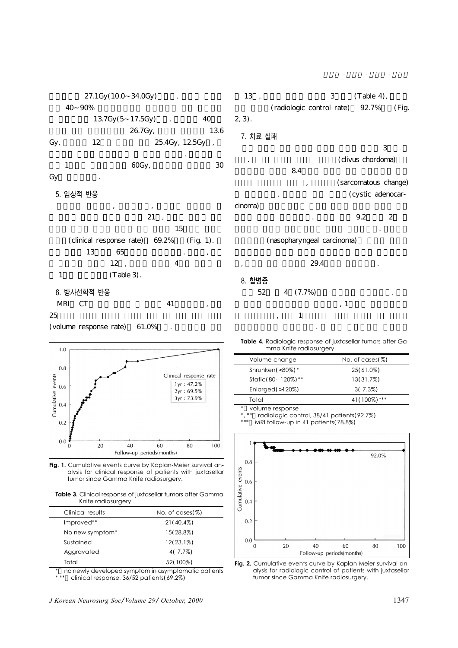27.1Gy(10.0 34.0Gy) 40 90% 13.7Gy(5<sup>17.5Gy)</sup> . 40

26.7Gy, 13.6 Gy,  $12$  25.4Gy,  $12.5Gy$ ,

 $1$  60Gy, 30 Gy

집단간에 방사선 조사량에는 큰 차이는 없었다. 시상하부 과

#### 5. 임상적 반응

 $\frac{1}{3}$ ,  $\frac{1}{3}$ ,  $\frac{1}{3}$ ,  $\frac{1}{3}$ ,  $\frac{1}{3}$ ,  $\frac{1}{3}$ ,  $\frac{1}{3}$ ,  $\frac{1}{3}$ ,  $\frac{1}{3}$ ,  $\frac{1}{3}$ ,  $\frac{1}{3}$ ,  $\frac{1}{3}$ ,  $\frac{1}{3}$ ,  $\frac{1}{3}$ ,  $\frac{1}{3}$ ,  $\frac{1}{3}$ ,  $\frac{1}{3}$ ,  $\frac{1}{3}$ ,  $\frac{1}{3}$ ,  $\frac{1}{3}$ ,  $21$ ,  $15$ (clinical response rate)  $69.2\%$  (Fig. 1).  $13$  65 and  $13$  $12,$   $4$  $1$  (Table 3).

#### 6. 방사선학적 반응

MRI CT 41  $25$ 

(volume response rate)  $61.0\%$ 



Fig. 1. Cumulative events curve by Kaplan-Meier survival analysis for clinical response of patients with juxtasellar tumor since Gamma Knife radiosurgery.

**Table 3.** Clinical response of juxtasellar tumors after Gamma Knife radiosurgery

| Clinical results | No. of $cases (\%)$ |
|------------------|---------------------|
| Improved**       | $21(40.4\%)$        |
| No new symptom*  | 15(28.8%)           |
| Sustained        | 12(23.1%)           |
| Aggravated       | 4(7.7%)             |
| Total            | 52(100%)            |

no newly developed symptom in asymptomatic patients \*,\*\* clinical response, 36/52 patients(69.2%)

장종희·장진우·박용구·정상섭

 $13, 3 \t(Table 4),$  $(radiologic control rate)$  92.7% (Fig. 2, 3).

# 7. 치료 실패  $\sim$  3

(clivus chordoma)  $8.4$ (sarcomatous change) (cystic adenocar-

cinoma)  $\sim$  3.2  $\sim$  2 마나이프 치료를 권유하였으나 치료를 중단하였다. 세번째는

(nasopharyngeal carcinoma)

 $29.4$  .

#### 8. 합병증

52 4 (7.7%)  $\,$ , 1  $\,$  ,  $\,$  1

**Table 4.** Radiologic response of juxtasellar tumors after Gamma Knife radiosurgery

외전신경마비가 발생하였다. 그 외에 삼차신경의 기능저하

|       | Volume change         | No. of $cases (\%)$ |  |
|-------|-----------------------|---------------------|--|
|       | Shrunken $(< 80\%)$ * | 25(61.0%)           |  |
|       | Static (80-120%) **   | 13(31.7%)           |  |
|       | Enlarged (>120%)      | $3(7.3\%)$          |  |
| Total |                       | 41 (100%) ***       |  |
|       |                       |                     |  |

volume response

\*, \*\* radiologic control, 38/41 patients(92.7%)

MRI follow-up in 41 patients(78.8%)



**Fig. 2.** Cumulative events curve by Kaplan-Meier survival analysis for radiologic control of patients with juxtasellar tumor since Gamma Knife radiosurgery.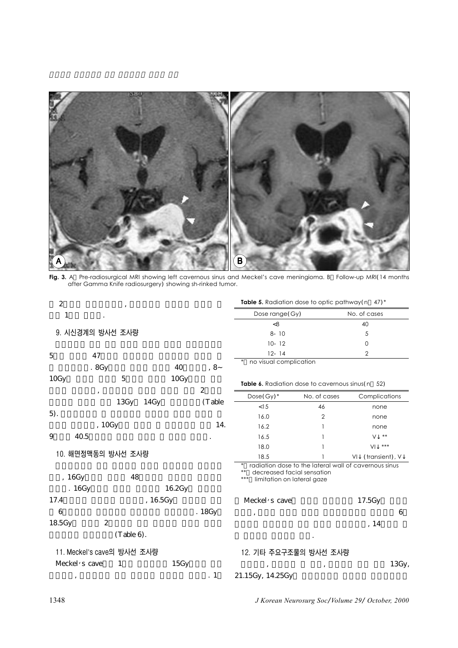

**Fig. 3.** A Pre-radiosurgical MRI showing left cavernous sinus and Meckel's cave meningioma. B Follow-up MRI(14 months after Gamma Knife radiosurgery) showing sh-rinked tumor.

| $\mathbf{2}$               |               |          |              |                                                          | Table 5. Radiation dose to optic pathway(n 47)*       |                      |       |
|----------------------------|---------------|----------|--------------|----------------------------------------------------------|-------------------------------------------------------|----------------------|-------|
| 1                          |               |          |              | Dose range (Gy)                                          |                                                       | No. of cases         |       |
|                            |               |          |              | <8                                                       |                                                       | 40                   |       |
| 9. 시신경계의 방사선 조사량           |               |          |              | $8 - 10$                                                 |                                                       | 5                    |       |
|                            |               |          |              | $10 - 12$                                                |                                                       | 0                    |       |
| $\overline{5}$<br>47       |               |          |              | $12 - 14$                                                |                                                       | 2                    |       |
| .8Gy                       |               | 40       | , 8          | no visual complication                                   |                                                       |                      |       |
| 10Gy                       | 5             | 10Gy     |              |                                                          | Table 6. Radiation dose to cavernous sinus (n 52)     |                      |       |
| $, \,$                     |               |          | $\mathbf{2}$ | $Dose(Gy)$ *                                             | No. of cases                                          | Complications        |       |
|                            | 13Gy<br>14Gy  |          | (Table       | < 15                                                     | 46                                                    | none                 |       |
| 5).                        |               |          |              | 16.0                                                     | $\overline{2}$                                        | none                 |       |
| , 10Gy                     |               |          | 14.          | 16.2                                                     |                                                       | none                 |       |
| 9<br>40.5                  |               |          |              | 16.5                                                     |                                                       | $***$<br>v           |       |
|                            |               |          |              | 18.0                                                     |                                                       | $***$<br>VI          |       |
| 10. 해면정맥동의 방사선 조사량         |               |          |              | 18.5                                                     |                                                       | (transient), V<br>VI |       |
| , 16Gy<br>.16Gy            | 48            | 16.2Gy   |              | decreased facial sensation<br>limitation on lateral gaze | radiation dose to the lateral wall of cavernous sinus |                      |       |
| 17.4                       |               |          |              |                                                          |                                                       |                      |       |
|                            |               | , 16.5Gy |              | Meckel's cave                                            |                                                       | 17.5Gy               |       |
| 6                          |               |          | .18Gy        |                                                          |                                                       |                      | 6     |
| $\boldsymbol{2}$<br>18.5Gy |               |          |              |                                                          |                                                       | , 14                 |       |
|                            | $(Table 6)$ . |          |              |                                                          |                                                       |                      |       |
| 11. Meckel's cave의 방사선 조사량 |               |          |              |                                                          | 12. 기타 주요구조물의 방사선 조사량                                 |                      |       |
| Meckel's cave              | 1             | 15Gy     |              |                                                          |                                                       |                      | 13Gy, |
| $^\mathrm{,}$              |               |          | $\cdot$ 1    | 21.15Gy, 14.25Gy                                         |                                                       |                      |       |

1348 *J Korean Neurosurg Soc*/*Volume 29*/ *October, 2000*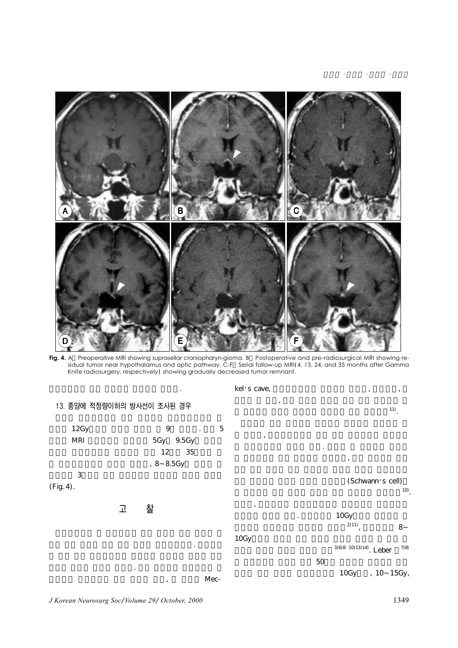

Fig. 4. A Preoperative MRI showing suprasellar craniopharyn-gioma. B Postoperative and pre-radiosurgical MRI showing residual tumor near hypothalamus and optic pathway. C-F Serial follow-up MRI(4, 13, 24, and 35 months after Gamma Knife radiosurgery, respectively) showing gradually decreased tumor remnant.



*J Korean Neurosurg Soc*/*Volume 29*/ *October, 2000* 1349

 $\sim$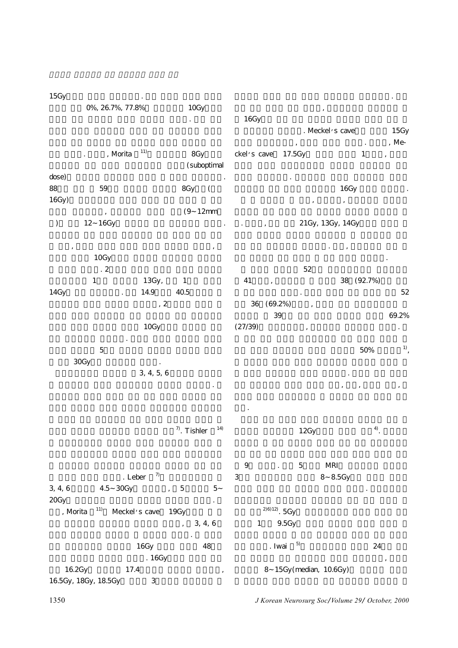| 15Gy            |                      |               |                                             |                                                   |                            |                                 |            |                                        |
|-----------------|----------------------|---------------|---------------------------------------------|---------------------------------------------------|----------------------------|---------------------------------|------------|----------------------------------------|
|                 | 0%, 26.7%, 77.8%     |               | 10Gy                                        | 16Gy                                              |                            |                                 |            |                                        |
|                 |                      |               |                                             |                                                   |                            | . Meckel's cave                 |            | 15Gy                                   |
|                 | , Morita $\,$        | 11)           | 8Gy<br>(suboptimal                          | ckel's cave                                       | 17.5Gy                     |                                 | $\,1$      | , Me- $\,$<br>$\overline{\phantom{a}}$ |
| dose)<br>88     | $59\,$               |               | 8Gy<br>$\left($                             |                                                   |                            | 16Gy                            |            |                                        |
| 16Gy            |                      |               | 12mm<br>(9)                                 |                                                   |                            |                                 |            |                                        |
| $\big)$         | 12 16Gy              |               |                                             |                                                   |                            | 21Gy, 13Gy, 14Gy                |            |                                        |
|                 | 10Gy                 |               |                                             |                                                   |                            |                                 |            |                                        |
|                 | $\cdot$ 2            |               |                                             |                                                   | $52\,$                     |                                 |            |                                        |
| 14Gy            | $1\,$                | 13Gy,<br>14.9 | $\mathbf{1}$<br>40.5                        | 41                                                |                            |                                 | 38 (92.7%) | $52\,$                                 |
|                 |                      | , 2           |                                             | $(69.2\%)$<br>36<br>39                            |                            |                                 |            | 69.2%                                  |
|                 |                      | 10Gy          |                                             | (27/39)                                           |                            |                                 |            |                                        |
|                 | $\mathbf 5$          |               |                                             |                                                   |                            |                                 | 50%        | $\overset{1)}{\cdot}$                  |
| 30Gy            |                      | 3, 4, 5, 6    |                                             |                                                   |                            |                                 |            |                                        |
|                 |                      |               |                                             |                                                   |                            |                                 |            |                                        |
|                 |                      |               |                                             |                                                   |                            |                                 |            |                                        |
|                 |                      |               | 14)<br>$\frac{7}{2}$ . Tishler              |                                                   | 12Gy                       |                                 | $^{4)}$ .  |                                        |
|                 | . Leber              | $7)$          |                                             | $\boldsymbol{9}$<br>$\ddot{\phantom{a}}$<br>$\,3$ | $\overline{5}$             | $\operatorname{MRI}$<br>8 8.5Gy |            |                                        |
| 3, 4, 6<br>20Gy | 4.5 30Gy             |               | , 5<br>$\mathbf 5$<br>$\cdot$               |                                                   |                            |                                 |            |                                        |
| , Morita        | 11)                  | Meckel's cave | 19Gy<br>3, 4, 6<br>$\overline{\phantom{a}}$ | $\mathbf{1}$                                      | $^{296)}12$ . 5Gy<br>9.5Gy |                                 |            |                                        |
|                 |                      | 16Gy          | 48                                          |                                                   | $\overline{5}$<br>. Iwai   |                                 | 24         |                                        |
| 16.2Gy          | 17.4                 | .16Gy         | $^\mathrm{^\mathrm{o}}$                     |                                                   | 8 15Gy (median, 10.6Gy)    |                                 |            | $\,$                                   |
|                 | 16.5Gy, 18Gy, 18.5Gy | $\,3$         |                                             |                                                   |                            |                                 |            |                                        |

1350 *J Korean Neurosurg Soc*/*Volume 29*/ *October, 2000*